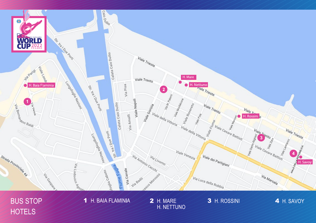

**BUS STOP** HOTELS

H. BAIA FLAMINIA  $\overline{\mathcal{X}}$ 

2 H. MARE H. NETTUNO 3 H. ROSSINI

4 H. SAVOY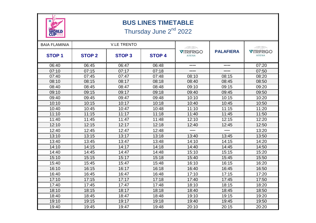

## **BUS LINES TIMETABLE**

Thursday June 2<sup>nd</sup> 2022

| <b>BAIA FLAMINIA</b> |               | <b>V.LE TRENTO</b> |               | <u> 1000 - 1000 - 1000 - 1000 - 1000 - 1000 - 1000 - 1000 - 1000 - 1000 - 1000 - 1000 - 1000 - 1000 - 1000 - 100</u> |                  | TR                                |
|----------------------|---------------|--------------------|---------------|----------------------------------------------------------------------------------------------------------------------|------------------|-----------------------------------|
| <b>STOP1</b>         | <b>STOP 2</b> | <b>STOP 3</b>      | <b>STOP 4</b> | <b>VITRIFRIGO</b><br><b>ARENA</b>                                                                                    | <b>PALAFIERA</b> | <b>VITRIFRIGO</b><br><b>ARENA</b> |
| 06:40                | 06:45         | 06:47              | 06:48         |                                                                                                                      |                  | 07:20                             |
| 07:10                | 07:15         | 07:17              | 07:18         |                                                                                                                      |                  | 07:50                             |
| 07:40                | 07:45         | 07:47              | 07:48         | 08:10                                                                                                                | 08:15            | 08:20                             |
| 08:10                | 08:15         | 08:17              | 08:18         | 08:40                                                                                                                | 08:45            | 08:50                             |
| 08:40                | 08:45         | 08:47              | 08:48         | 09:10                                                                                                                | 09:15            | 09:20                             |
| 09:10                | 09:15         | 09:17              | 09:18         | 09:40                                                                                                                | 09:45            | 09:50                             |
| 09:40                | 09:45         | 09:47              | 09:48         | 10:10                                                                                                                | 10:15            | 10:20                             |
| 10:10                | 10:15         | 10:17              | 10:18         | 10:40                                                                                                                | 10:45            | 10:50                             |
| 10:40                | 10:45         | 10:47              | 10:48         | 11:10                                                                                                                | 11:15            | 11:20                             |
| 11:10                | 11:15         | 11:17              | 11:18         | 11:40                                                                                                                | 11:45            | 11:50                             |
| 11:40                | 11:45         | 11:47              | 11:48         | 12:10                                                                                                                | 12:15            | 12:20                             |
| 12:10                | 12:15         | 12:17              | 12:18         | 12:40                                                                                                                | 12:45            | 12:50                             |
| 12:40                | 12:45         | 12:47              | 12:48         |                                                                                                                      |                  | 13:20                             |
| 13:10                | 13:15         | 13:17              | 13:18         | 13:40                                                                                                                | 13:45            | 13:50                             |
| 13:40                | 13:45         | 13:47              | 13:48         | 14:10                                                                                                                | 14:15            | 14:20                             |
| 14:10                | 14:15         | 14:17              | 14:18         | 14:40                                                                                                                | 14:45            | 14:50                             |
| 14:40                | 14:45         | 14:47              | 14:48         | 15:10                                                                                                                | 15:15            | 15:20                             |
| 15:10                | 15:15         | 15:17              | 15:18         | 15:40                                                                                                                | 15:45            | 15:50                             |
| 15:40                | 15:45         | 15:47              | 15:48         | 16:10                                                                                                                | 16:15            | 16:20                             |
| 16:10                | 16:15         | 16:17              | 16:18         | 16:40                                                                                                                | 16:45            | 16:50                             |
| 16:40                | 16:45         | 16:47              | 16:48         | 17:10                                                                                                                | 17:15            | 17:20                             |
| 17:10                | 17:15         | 17:17              | 17:18         | 17:40                                                                                                                | 17:45            | 17:50                             |
| 17:40                | 17:45         | 17:47              | 17:48         | 18:10                                                                                                                | 18:15            | 18:20                             |
| 18:10                | 18:15         | 18:17              | 18:18         | 18:40                                                                                                                | 18:45            | 18:50                             |
| 18:40                | 18:45         | 18:47              | 18:48         | 19:10                                                                                                                | 19:15            | 19:20                             |
| 19:10                | 19:15         | 19:17              | 19:18         | 19:40                                                                                                                | 19:45            | 19:50                             |
| 19:40                | 19:45         | 19:47              | 19:48         | 20:10                                                                                                                | 20:15            | 20:20                             |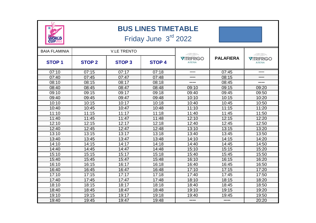| <b>BUS LINES TIMETABLE</b><br>Friday June 3rd 2022<br><b>WORLD<br/>CUP2022</b> |                    |              |               |                                   |                  |                                   |  |
|--------------------------------------------------------------------------------|--------------------|--------------|---------------|-----------------------------------|------------------|-----------------------------------|--|
| <b>BAIA FLAMINIA</b>                                                           | <b>V.LE TRENTO</b> |              |               | <u>INSSE</u>                      |                  |                                   |  |
| <b>STOP1</b>                                                                   | <b>STOP 2</b>      | <b>STOP3</b> | <b>STOP 4</b> | <b>VITRIFRIGO</b><br><b>ARENA</b> | <b>PALAFIERA</b> | <b>VITRIFRIGO</b><br><b>ARENA</b> |  |
| 07:10                                                                          | 07:15              | 07:17        | 07:18         |                                   | 07:45            |                                   |  |
| 07:40                                                                          | 07:45              | 07:47        | 07:48         |                                   | 08:15            |                                   |  |
| 08:10                                                                          | 08:15              | 08:17        | 08:18         |                                   | 08:45            |                                   |  |
| 08:40                                                                          | 08:45              | 08:47        | 08:48         | 09:10                             | 09:15            | 09:20                             |  |
| 09:10                                                                          | 09:15              | 09:17        | 09:18         | 09:40                             | 09:45            | 09:50                             |  |
| 09:40                                                                          | 09:45              | 09:47        | 09:48         | 10:10                             | 10:15            | 10:20                             |  |
| 10:10                                                                          | 10:15              | 10:17        | 10:18         | 10:40                             | 10:45            | 10:50                             |  |
| 10:40                                                                          | 10:45              | 10:47        | 10:48         | 11:10                             | 11:15            | 11:20                             |  |
| 11:10                                                                          | 11:15              | 11:17        | 11:18         | 11:40                             | 11:45            | 11:50                             |  |
| 11:40                                                                          | 11:45              | 11:47        | 11:48         | 12:10                             | 12:15            | 12:20                             |  |
| 12:10                                                                          | 12:15              | 12:17        | 12:18         | 12:40                             | 12:45            | 12:50                             |  |
| 12:40                                                                          | 12:45              | 12:47        | 12:48         | 13:10                             | 13:15            | 13:20                             |  |
| 13:10                                                                          | 13:15              | 13:17        | 13:18         | 13:40                             | 13:45            | 13:50                             |  |
| 13:40                                                                          | 13:45              | 13:47        | 13:48         | 14:10                             | 14:15            | 14:20                             |  |
| 14:10                                                                          | 14:15              | 14:17        | 14:18         | 14:40                             | 14:45            | 14:50                             |  |
| 14:40                                                                          | 14:45              | 14:47        | 14:48         | 15:10                             | 15:15            | 15:20                             |  |
| 15:10                                                                          | 15:15              | 15:17        | 15:18         | 15:40                             | 15:45            | 15:50                             |  |
| 15:40                                                                          | 15:45              | 15:47        | 15:48         | 16:10                             | 16:15            | 16:20                             |  |
| 16:10                                                                          | 16:15              | 16:17        | 16:18         | 16:40                             | 16:45            | 16:50                             |  |
| 16:40                                                                          | 16:45              | 16:47        | 16:48         | 17:10                             | 17:15            | 17:20                             |  |
| 17:10                                                                          | 17:15              | 17:17        | 17:18         | 17:40                             | 17:45            | 17:50                             |  |
| 17:40                                                                          | 17:45              | 17:47        | 17:48         | 18:10                             | 18:15            | 18:20                             |  |
| 18:10                                                                          | 18:15              | 18:17        | 18:18         | 18:40                             | 18:45            | 18:50                             |  |
| 18:40                                                                          | 18:45              | 18:47        | 18:48         | 19:10                             | 19:15            | 19:20                             |  |
| 19:10                                                                          | 19:15              | 19:17        | 19:18         | 19:40                             | 19:45            | 19:50                             |  |
| 19:40                                                                          | 19:45              | 19:47        | 19:48         |                                   |                  | 20:20                             |  |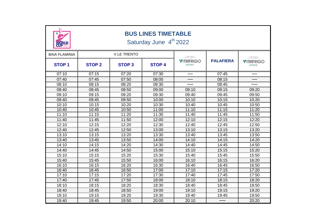| <b>BUS LINES TIMETABLE</b><br>Saturday June 4 <sup>th</sup> 2022<br>WORLD |                    |              |                                                                                                                      |                            |                  |                                                                                                                                                          |
|---------------------------------------------------------------------------|--------------------|--------------|----------------------------------------------------------------------------------------------------------------------|----------------------------|------------------|----------------------------------------------------------------------------------------------------------------------------------------------------------|
| <b>BAIA FLAMINIA</b>                                                      | <b>V.LE TRENTO</b> |              | <u> 450 - 150 - 150 - 150 - 150 - 150 - 150 - 150 - 150 - 150 - 150 - 150 - 150 - 150 - 150 - 150 - 150 - 150 - </u> |                            |                  |                                                                                                                                                          |
| <b>STOP1</b>                                                              | <b>STOP 2</b>      | <b>STOP3</b> | <b>STOP 4</b>                                                                                                        | <b>VITRIFRIGO</b><br>ARENA | <b>PALAFIERA</b> | <u> 1888 - 1988 - 1988 - 1988 - 1988 - 1988 - 1988 - 1988 - 1988 - 1988 - 1988 - 1988 - 1988 - 1988 - 1988 - 19</u><br><b>VITRIFRIGO</b><br><b>ARENA</b> |
| 07:10                                                                     | 07:15              | 07:20        | 07:30                                                                                                                |                            | 07:45            |                                                                                                                                                          |
| 07:40                                                                     | 07:45              | 07:50        | 08:00                                                                                                                |                            | 08:15            |                                                                                                                                                          |
| 08:10                                                                     | 08:15              | 08:20        | 08:30                                                                                                                |                            | 08:45            |                                                                                                                                                          |
| 08:40                                                                     | 08:45              | 08:50        | 09:00                                                                                                                | 09:10                      | 09:15            | 09:20                                                                                                                                                    |
| 09:10                                                                     | 09:15              | 09:20        | 09:30                                                                                                                | 09:40                      | 09:45            | 09:50                                                                                                                                                    |
| 09:40                                                                     | 09:45              | 09:50        | 10:00                                                                                                                | 10:10                      | 10:15            | 10:20                                                                                                                                                    |
| 10:10                                                                     | 10:15              | 10:20        | 10:30                                                                                                                | 10:40                      | 10:45            | 10:50                                                                                                                                                    |
| 10:40                                                                     | 10:45              | 10:50        | 11:00                                                                                                                | 11:10                      | 11:15            | 11:20                                                                                                                                                    |
| 11:10                                                                     | 11:15              | 11:20        | 11:30                                                                                                                | 11:40                      | 11:45            | 11:50                                                                                                                                                    |
| 11:40                                                                     | 11:45              | 11:50        | 12:00                                                                                                                | 12:10                      | 12:15            | 12:20                                                                                                                                                    |
| 12:10                                                                     | 12:15              | 12:20        | 12:30                                                                                                                | 12:40                      | 12:45            | 12:50                                                                                                                                                    |
| 12:40                                                                     | 12:45              | 12:50        | 13:00                                                                                                                | 13:10                      | 13:15            | 13:20                                                                                                                                                    |
| 13:10                                                                     | 13:15              | 13:20        | 13:30                                                                                                                | 13:40                      | 13:45            | 13:50                                                                                                                                                    |
| 13:40                                                                     | 13:45              | 13:50        | 14:00                                                                                                                | 14:10                      | 14:15            | 14:20                                                                                                                                                    |
| 14:10                                                                     | 14:15              | 14:20        | 14:30                                                                                                                | 14:40                      | 14:45            | 14:50                                                                                                                                                    |
| 14:40                                                                     | 14:45              | 14:50        | 15:00                                                                                                                | 15:10                      | 15:15            | 15:20                                                                                                                                                    |
| 15:10                                                                     | 15:15              | 15:20        | 15:30                                                                                                                | 15:40                      | 15:45            | 15:50                                                                                                                                                    |
| 15:40                                                                     | 15:45              | 15:50        | 16:00                                                                                                                | 16:10                      | 16:15            | 16:20                                                                                                                                                    |
| 16:10                                                                     | 16:15              | 16:20        | 16:30                                                                                                                | 16:40                      | 16:45            | 16:50                                                                                                                                                    |
| 16:40                                                                     | 16:45              | 16:50        | 17:00                                                                                                                | 17:10                      | 17:15            | 17:20                                                                                                                                                    |
| 17:10                                                                     | 17:15              | 17:20        | 17:30                                                                                                                | 17:40                      | 17:45            | 17:50                                                                                                                                                    |
| 17:40                                                                     | 17:45              | 17:50        | 18:00                                                                                                                | 18:10                      | 18:15            | 18:20                                                                                                                                                    |
| 18:10                                                                     | 18:15              | 18:20        | 18:30                                                                                                                | 18:40                      | 18:45            | 18:50                                                                                                                                                    |
| 18:40                                                                     | 18:45              | 18:50        | 19:00                                                                                                                | 19:10                      | 19:15            | 19:20                                                                                                                                                    |
| 19:10                                                                     | 19:15              | 19:20        | 19:30                                                                                                                | 19:40                      | 19:45            | 19:50                                                                                                                                                    |
| 19:40                                                                     | 19:45              | 19:50        | 20:00                                                                                                                | 20:10                      |                  | 20:20                                                                                                                                                    |